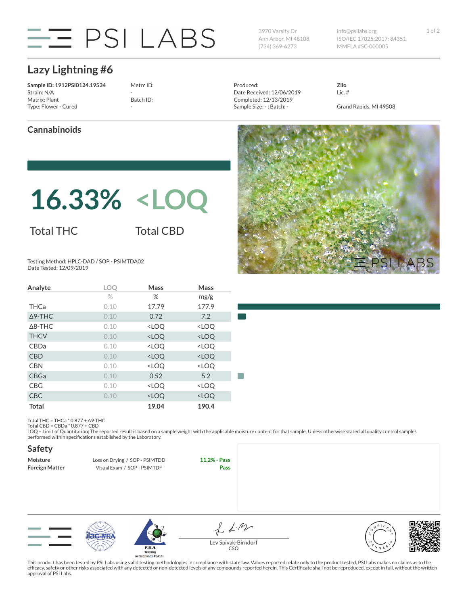

Ann Arbor, MI 48108 (734) 369-6273

3970 Varsity Dr 1 of 2 info@psilabs.org ISO/IEC 17025:2017: 84351 MMFLA #SC-000005

## **Lazy Lightning #6**

**Sample ID: 1912PSI0124.19534** Strain: N/A Matrix: Plant Type: Flower - Cured

Metrc ID: - Batch ID: -

Produced: Date Received: 12/06/2019 Completed: 12/13/2019 Sample Size: - ; Batch: -

**Zilo** Lic. #

Grand Rapids, MI 49508

#### **Cannabinoids**

# **16.33% <LOQ**

### Total THC

Total CBD

Testing Method: HPLC-DAD / SOP - PSIMTDA02 Date Tested: 12/09/2019

| Analyte           | LOQ  | <b>Mass</b>                                              | Mass                         |  |
|-------------------|------|----------------------------------------------------------|------------------------------|--|
|                   | $\%$ | %                                                        | mg/g                         |  |
| <b>THCa</b>       | 0.10 | 17.79                                                    | 177.9                        |  |
| $\triangle$ 9-THC | 0.10 | 0.72                                                     | 7.2                          |  |
| $\triangle$ 8-THC | 0.10 | <loq< td=""><td><loq< td=""><td></td></loq<></td></loq<> | <loq< td=""><td></td></loq<> |  |
| <b>THCV</b>       | 0.10 | <loq< td=""><td><loq< td=""><td></td></loq<></td></loq<> | <loq< td=""><td></td></loq<> |  |
| CBDa              | 0.10 | <loq< td=""><td><loq< td=""><td></td></loq<></td></loq<> | <loq< td=""><td></td></loq<> |  |
| <b>CBD</b>        | 0.10 | <loq< td=""><td><loq< td=""><td></td></loq<></td></loq<> | <loq< td=""><td></td></loq<> |  |
| <b>CBN</b>        | 0.10 | <loq< td=""><td><loq< td=""><td></td></loq<></td></loq<> | <loq< td=""><td></td></loq<> |  |
| <b>CBGa</b>       | 0.10 | 0.52                                                     | 5.2                          |  |
| <b>CBG</b>        | 0.10 | <loq< td=""><td><loq< td=""><td></td></loq<></td></loq<> | <loq< td=""><td></td></loq<> |  |
| <b>CBC</b>        | 0.10 | <loq< td=""><td><loq< td=""><td></td></loq<></td></loq<> | <loq< td=""><td></td></loq<> |  |
| <b>Total</b>      |      | 19.04                                                    | 190.4                        |  |



Total THC = THCa \* 0.877 + ∆9-THC Total CBD = CBDa \* 0.877 + CBD

LOQ = Limit of Quantitation; The reported result is based on a sample weight with the applicable moisture content for that sample; Unless otherwise stated all quality control samples performed within specifications established by the Laboratory.

#### **Safety**

| Moisture              | Loss on Drying / SOP - PSIMTDD | 11.2% - Pass |
|-----------------------|--------------------------------|--------------|
| <b>Foreign Matter</b> | Visual Exam / SOP - PSIMTDF    | <b>Pass</b>  |





 $f_{\text{A}}$ Lev Spivak-Birndorf CSO



This product has been tested by PSI Labs using valid testing methodologies in compliance with state law. Values reported relate only to the product tested. PSI Labs makes no claims as to the efficacy, safety or other risks associated with any detected or non-detected levels of any compounds reported herein. This Certificate shall not be reproduced, except in full, without the written approval of PSI Labs.